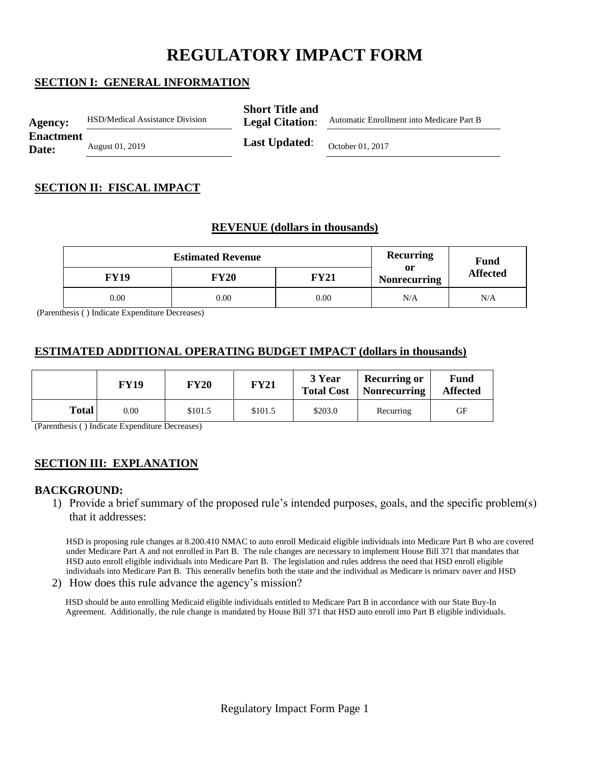# **REGULATORY IMPACT FORM**

# **SECTION I: GENERAL INFORMATION**

| <b>Agency:</b>            | <b>HSD/Medical Assistance Division</b> | <b>Short Title and</b><br><b>Legal Citation:</b> | Automatic Enrollment into Medicare Part B |
|---------------------------|----------------------------------------|--------------------------------------------------|-------------------------------------------|
| <b>Enactment</b><br>Date: | August 01, 2019                        | <b>Last Updated:</b>                             | October 01, 2017                          |

# **SECTION II: FISCAL IMPACT**

## **REVENUE (dollars in thousands)**

|             | <b>Estimated Revenue</b> | Recurring | <b>Fund</b>               |                 |
|-------------|--------------------------|-----------|---------------------------|-----------------|
| <b>FY19</b> | FY20                     | FY21      | or<br><b>Nonrecurring</b> | <b>Affected</b> |
| 0.00        | 0.00                     | 0.00      | N/A                       | N/A             |

(Parenthesis ( ) Indicate Expenditure Decreases)

## **ESTIMATED ADDITIONAL OPERATING BUDGET IMPACT (dollars in thousands)**

|              | FY19 | <b>FY20</b> | <b>FY21</b> | 3 Year<br><b>Total Cost</b> | <b>Recurring or</b><br><b>Nonrecurring</b> | Fund<br><b>Affected</b> |
|--------------|------|-------------|-------------|-----------------------------|--------------------------------------------|-------------------------|
| <b>Total</b> | 0.00 | \$101.5     | \$101.5     | \$203.0                     | Recurring                                  | GF                      |

(Parenthesis ( ) Indicate Expenditure Decreases)

# **SECTION III: EXPLANATION**

#### **BACKGROUND:**

1) Provide a brief summary of the proposed rule's intended purposes, goals, and the specific problem(s) that it addresses:

HSD is proposing rule changes at 8.200.410 NMAC to auto enroll Medicaid eligible individuals into Medicare Part B who are covered under Medicare Part A and not enrolled in Part B. The rule changes are necessary to implement House Bill 371 that mandates that HSD auto enroll eligible individuals into Medicare Part B. The legislation and rules address the need that HSD enroll eligible individuals into Medicare Part B. This generally benefits both the state and the individual as Medicare is primary payer and HSD

2) How does this rule advance the agency's mission?

HSD should be auto enrolling Medicaid eligible individuals entitled to Medicare Part B in accordance with our State Buy-In Agreement. Additionally, the rule change is mandated by House Bill 371 that HSD auto enroll into Part B eligible individuals.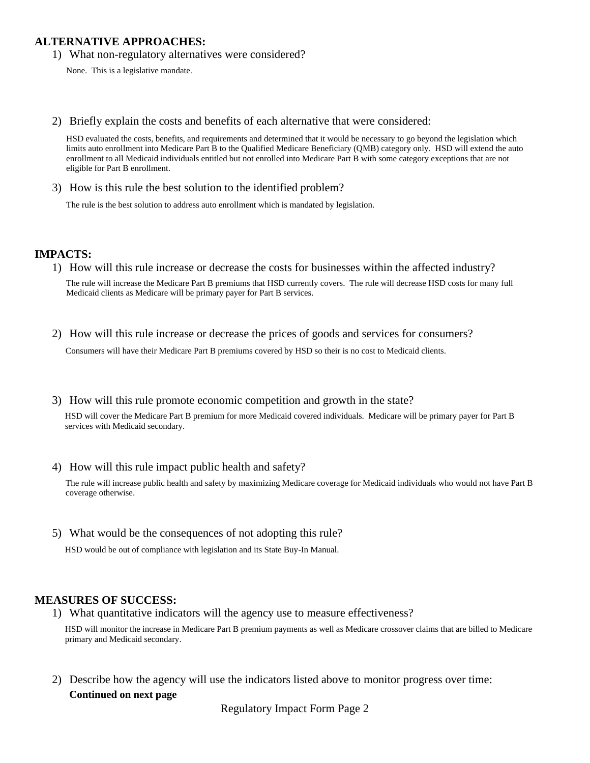## **ALTERNATIVE APPROACHES:**

1) What non-regulatory alternatives were considered?

None. This is a legislative mandate.

2) Briefly explain the costs and benefits of each alternative that were considered:

HSD evaluated the costs, benefits, and requirements and determined that it would be necessary to go beyond the legislation which limits auto enrollment into Medicare Part B to the Qualified Medicare Beneficiary (QMB) category only. HSD will extend the auto enrollment to all Medicaid individuals entitled but not enrolled into Medicare Part B with some category exceptions that are not eligible for Part B enrollment.

3) How is this rule the best solution to the identified problem?

The rule is the best solution to address auto enrollment which is mandated by legislation.

#### **IMPACTS:**

1) How will this rule increase or decrease the costs for businesses within the affected industry?

The rule will increase the Medicare Part B premiums that HSD currently covers. The rule will decrease HSD costs for many full Medicaid clients as Medicare will be primary payer for Part B services.

2) How will this rule increase or decrease the prices of goods and services for consumers?

Consumers will have their Medicare Part B premiums covered by HSD so their is no cost to Medicaid clients.

3) How will this rule promote economic competition and growth in the state?

HSD will cover the Medicare Part B premium for more Medicaid covered individuals. Medicare will be primary payer for Part B services with Medicaid secondary.

4) How will this rule impact public health and safety?

The rule will increase public health and safety by maximizing Medicare coverage for Medicaid individuals who would not have Part B coverage otherwise.

5) What would be the consequences of not adopting this rule?

#### **MEASURES OF SUCCESS:**

1) What quantitative indicators will the agency use to measure effectiveness?

HSD would be out of compliance with legislation and its State Buy-In Manual.<br> **SURES OF SUCCESS:**<br>
What quantitative indicators will the agency use to measure effectiveness?<br>
HSD will monitor the increase in Medicare Part primary and Medicaid secondary.

2) Describe how the agency will use the indicators listed above to monitor progress over time: **Continued on next page**

Regulatory Impact Form Page 2